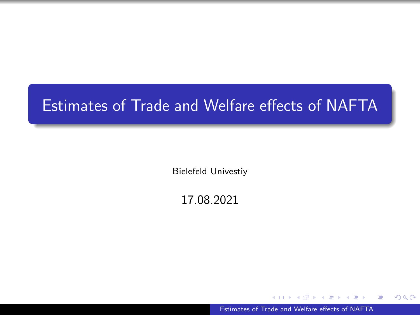# <span id="page-0-0"></span>Estimates of Trade and Welfare effects of NAFTA

Bielefeld Univestiy

17.08.2021

[Estimates of Trade and Welfare effects of NAFTA](#page-22-0)

÷

э

 $QQ$ 

∍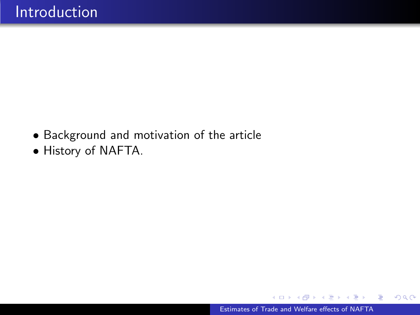- Background and motivation of the article
- History of NAFTA.

 $\overline{a}$ 

**何 ト ィヨ ト ィヨ ト** 

E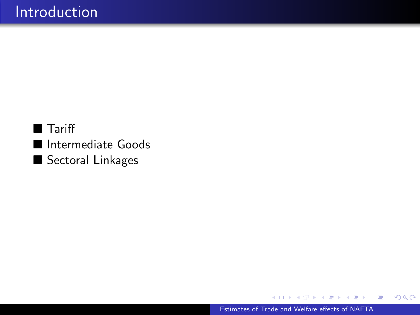**Tariff** Intermediate Goods Sectoral Linkages

 $\overline{a}$ 

E

ヨメ イヨ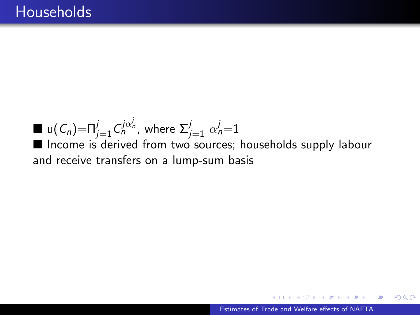$\blacksquare$  u $(\mathit{C}_n)$ = $\sqcap_{j=1}^j C^{{j}\alpha_n^j}_n$ , where  $\Sigma_{j=1}^j$   $\alpha_n^j$ =1 Income is derived from two sources; households supply labour and receive transfers on a lump-sum basis

 $\triangleright$  and  $\equiv$   $\triangleright$  and  $\equiv$   $\triangleright$ 

 $\Omega$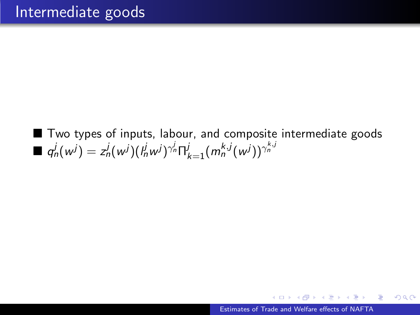■ Two types of inputs, labour, and composite intermediate goods  $\blacksquare$   $q^{j}_{n}(w^{j}) = z^{j}_{n}(w^{j})(l^{j}_{n}w^{j})^{\gamma^{j}_{n}}\Pi^{j}_{k=1}(m^{k,j}_{n}(w^{j}))^{\gamma^{k,j}_{n}}$ 

化重新润滑脂

э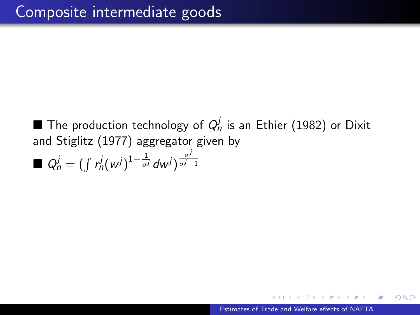$\blacksquare$  The production technology of  $Q_n^j$  is an Ethier (1982) or Dixit and Stiglitz (1977) aggregator given by

$$
\blacksquare Q_n^j = (\int r_n^j (w^j)^{1-\frac{1}{\sigma^j}} dw^j)^{\frac{\sigma^j}{\sigma^j-1}}
$$

つくい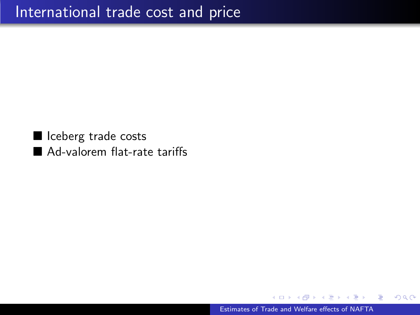I Iceberg trade costs Ad-valorem flat-rate tariffs

[Estimates of Trade and Welfare effects of NAFTA](#page-0-0)

≖

 $2Q$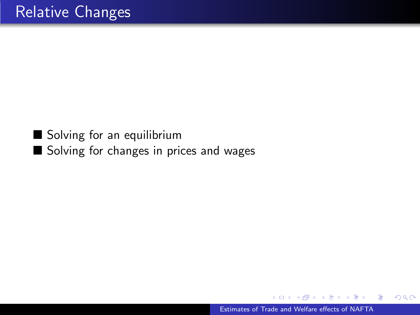#### Solving for an equilibrium Solving for changes in prices and wages

Box 41  $\equiv$  つくへ

∍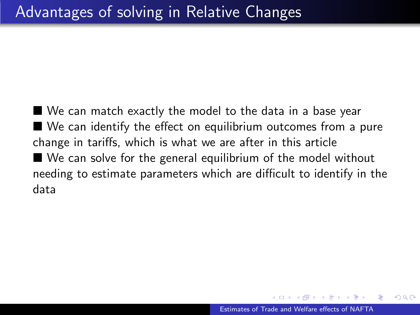■ We can match exactly the model to the data in a base year ■ We can identify the effect on equilibrium outcomes from a pure change in tariffs, which is what we are after in this article ■ We can solve for the general equilibrium of the model without needing to estimate parameters which are difficult to identify in the data

つくい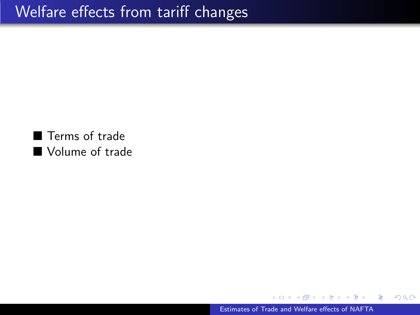■ Terms of trade **Nolume of trade** 

[Estimates of Trade and Welfare effects of NAFTA](#page-0-0)

э **Service** э  $299$ 

э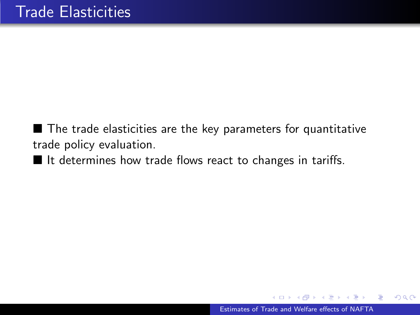■ The trade elasticities are the key parameters for quantitative trade policy evaluation.

 $\blacksquare$  It determines how trade flows react to changes in tariffs.

K 로 ) K 로 로

 $\Omega$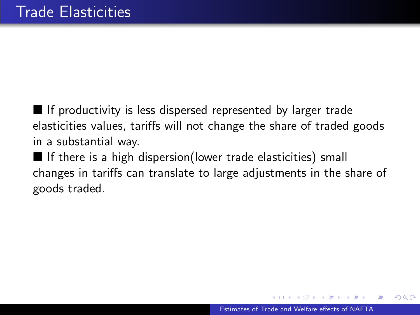$\blacksquare$  If productivity is less dispersed represented by larger trade elasticities values, tariffs will not change the share of traded goods in a substantial way.

 $\blacksquare$  If there is a high dispersion(lower trade elasticities) small changes in tariffs can translate to large adjustments in the share of goods traded.

つへへ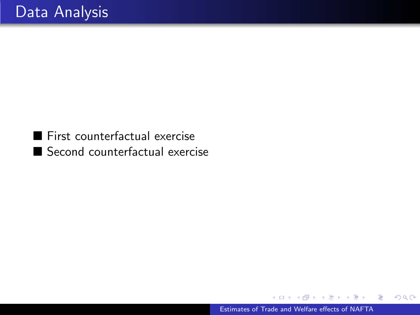First counterfactual exercise Second counterfactual exercise

Box 41 Э  $299$ 

∍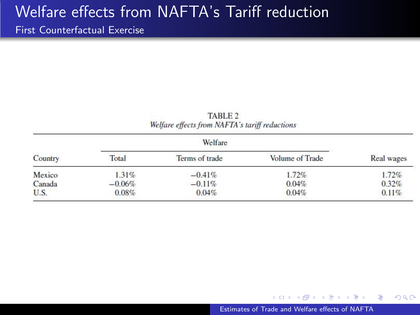#### Welfare effects from NAFTA's Tariff reduction

#### First Counterfactual Exercise

|                                                | TABLE 2 |  |
|------------------------------------------------|---------|--|
| Welfare effects from NAFTA's tariff reductions |         |  |

|         |          | Welfare        |                 |            |
|---------|----------|----------------|-----------------|------------|
| Country | Total    | Terms of trade | Volume of Trade | Real wages |
| Mexico  | $1.31\%$ | $-0.41%$       | 1.72%           | 1.72%      |
| Canada  | $-0.06%$ | $-0.11%$       | 0.04%           | 0.32%      |
| U.S.    | 0.08%    | 0.04%          | 0.04%           | 0.11%      |

化重变 化重

 $QQ$ 

э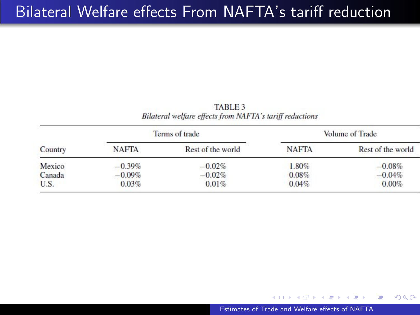**TABLE 3** Bilateral welfare effects from NAFTA's tariff reductions

| Country |              | Terms of trade    | Volume of Trade |                   |  |
|---------|--------------|-------------------|-----------------|-------------------|--|
|         | <b>NAFTA</b> | Rest of the world | <b>NAFTA</b>    | Rest of the world |  |
| Mexico  | $-0.39%$     | $-0.02%$          | 1.80%           | $-0.08%$          |  |
| Canada  | $-0.09%$     | $-0.02%$          | 0.08%           | $-0.04%$          |  |
| U.S.    | 0.03%        | $0.01\%$          | 0.04%           | 0.00%             |  |

4 17 18

イ押 トイヨ トイヨ トー

 $\equiv$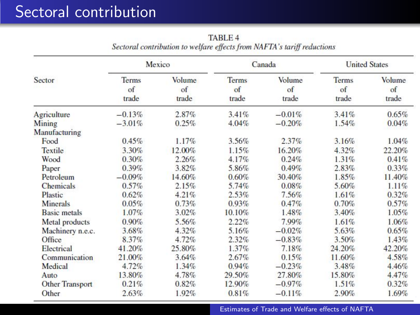# Sectoral contribution

|                     | Mexico               |                              |                             | Canada                |                      | <b>United States</b>  |  |
|---------------------|----------------------|------------------------------|-----------------------------|-----------------------|----------------------|-----------------------|--|
| Sector              | Terms<br>of<br>trade | <b>Volume</b><br>of<br>trade | <b>Terms</b><br>of<br>trade | Volume<br>of<br>trade | Terms<br>of<br>trade | Volume<br>of<br>trade |  |
| Agriculture         | $-0.13%$             | 2.87%                        | 3.41%                       | $-0.01%$              | 3.41%                | 0.65%                 |  |
| Mining              | $-3.01\%$            | 0.25%                        | 4.04%                       | $-0.20%$              | 1.54%                | 0.04%                 |  |
| Manufacturing       |                      |                              |                             |                       |                      |                       |  |
| Food                | 0.45%                | 1.17%                        | 3.56%                       | 2.37%                 | 3.16%                | 1.04%                 |  |
| Textile             | 3.30%                | 12.00%                       | 1.15%                       | 16.20%                | 4.32%                | 22.20%                |  |
| Wood                | 0.30%                | 2.26%                        | 4.17%                       | 0.24%                 | 1.31%                | 0.41%                 |  |
| Paper               | 0.39%                | 3.82%                        | 5.86%                       | 0.49%                 | 2.83%                | 0.33%                 |  |
| Petroleum           | $-0.09%$             | 14.60%                       | 0.60%                       | 30,40%                | 1.85%                | 11.40%                |  |
| <b>Chemicals</b>    | 0.57%                | 2.15%                        | 5.74%                       | 0.08%                 | 5.60%                | 1.11%                 |  |
| Plastic             | 0.62%                | 4.21%                        | $2.53\%$                    | 7.56%                 | 1.61%                | 0.32%                 |  |
| <b>Minerals</b>     | 0.05%                | 0.73%                        | 0.93%                       | 0.47%                 | 0.70%                | 0.57%                 |  |
| <b>Basic metals</b> | 1.07%                | 3.02%                        | 10.10%                      | 1.48%                 | 3.40%                | 1.05%                 |  |
| Metal products      | 0.90%                | 5.56%                        | 2.22%                       | 7.99%                 | 1.61%                | 1.06%                 |  |
| Machinery n.e.c.    | 3.68%                | $4.32\%$                     | 5.16%                       | $-0.02\%$             | 5.63%                | 0.65%                 |  |
| Office              | 8.37%                | 4.72%                        | 2.32%                       | $-0.83%$              | 3.50%                | 1.43%                 |  |
| Electrical          | 41.20%               | 25.80%                       | 1.37%                       | 7.18%                 | 24.20%               | 42.20%                |  |
| Communication       | 21.00%               | 3.64%                        | 2.67%                       | 0.15%                 | 11.60%               | 4.58%                 |  |
| Medical             | 4.72%                | 1.34%                        | 0.94%                       | $-0.23%$              | 3.48%                | 4.46%                 |  |
| Auto                | 13.80%               | 4.78%                        | 29.50%                      | 27.80%                | 15.80%               | 4.47%                 |  |
| Other Transport     | 0.21%                | 0.82%                        | 12.90%                      | $-0.97%$              | 1.51%                | 0.32%                 |  |
| Other               | 2.63%                | 1.92%                        | 0.81%                       | $-0.11%$              | 2.90%                | 1.69%                 |  |

**TABLE 4** Sectoral contribution to welfare effects from NAFTA's tariff reductions

[Estimates of Trade and Welfare effects of NAFTA](#page-0-0)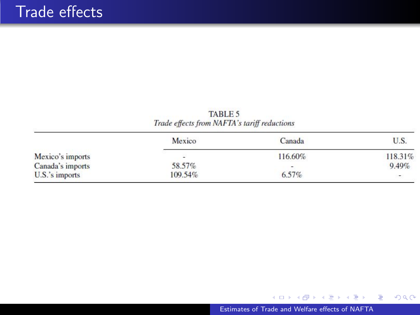TABLE 5 Trade effects from NAFTA's tariff reductions

|                  | Mexico  | Canada                   | U.S.    |
|------------------|---------|--------------------------|---------|
| Mexico's imports | -       | 116.60%                  | 118.31% |
| Canada's imports | 58.57%  | $\overline{\phantom{a}}$ | 9.49%   |
| $U.S.'s$ imports | 109.54% | 6.57%                    | $\sim$  |

メロトメ 御 トメ 君 トメ 君 ト

目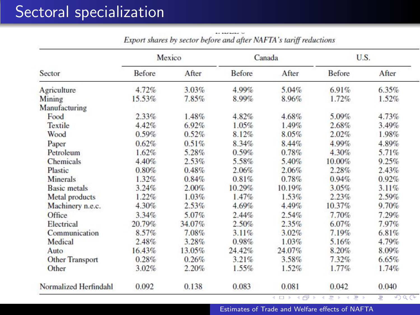# Sectoral specialization

|                        |           | Mexico |               | Canada   | U.S.     |       |
|------------------------|-----------|--------|---------------|----------|----------|-------|
| Sector                 | Before    | After  | <b>Before</b> | After    | Before   | After |
| Agriculture            | 4.72%     | 3.03%  | 4.99%         | 5.04%    | 6.91%    | 6.35% |
| Mining                 | $15.53\%$ | 7.85%  | 8.99%         | 8.96%    | 1.72%    | 1.52% |
| Manufacturing          |           |        |               |          |          |       |
| Food                   | $2.33\%$  | 1.48%  | 4.82%         | $4.68\%$ | 5.09%    | 4.73% |
| Textile                | 4.42%     | 6.92%  | 1.05%         | 1.49%    | 2.68%    | 3.49% |
| Wood                   | 0.59%     | 0.52%  | 8.12%         | 8.05%    | 2.02%    | 1.98% |
| Paper                  | 0.62%     | 0.51%  | 8.34%         | 8.44%    | 4.99%    | 4.89% |
| Petroleum              | 1.62%     | 5.28%  | 0.59%         | 0.78%    | 4.30%    | 5.71% |
| <b>Chemicals</b>       | 4.40%     | 2.53%  | 5.58%         | 5.40%    | 10.00%   | 9.25% |
| Plastic                | 0.80%     | 0.48%  | 2.06%         | 2.06%    | 2.28%    | 2.43% |
| <b>Minerals</b>        | 1.32%     | 0.84%  | 0.81%         | 0.78%    | 0.94%    | 0.92% |
| <b>Basic metals</b>    | 3.24%     | 2.00%  | 10.29%        | 10.19%   | 3.05%    | 3.11% |
| <b>Metal products</b>  | $1.22\%$  | 1.03%  | 1.47%         | $1.53\%$ | 2.23%    | 2.59% |
| Machinery n.e.c.       | 4.30%     | 2.53%  | 4.69%         | 4.49%    | 10.37%   | 9.70% |
| Office                 | 3.34%     | 5.07%  | 2.44%         | 2.54%    | 7.70%    | 7.29% |
| Electrical             | 20.79%    | 34.07% | 2.50%         | 2.35%    | 6.07%    | 7.97% |
| Communication          | 8.57%     | 7.08%  | 3.11%         | $3.02\%$ | 7.19%    | 6.81% |
| Medical                | 2.48%     | 3.28%  | 0.98%         | 1.03%    | 5.16%    | 4.79% |
| Auto                   | 16.43%    | 13.05% | 24.42%        | 24.07%   | 8.20%    | 8.09% |
| <b>Other Transport</b> | 0.28%     | 0.26%  | 3.21%         | 3.58%    | 7.32%    | 6.65% |
| Other                  | $3.02\%$  | 2.20%  | 1.55%         | 1.52%    | $1.77\%$ | 1.74% |
| Normalized Herfindahl  | 0.092     | 0.138  | 0.083         | 0.081    | 0.042    | 0.040 |

Export shares by sector before and after NAFTA's tariff reductions

[Estimates of Trade and Welfare effects of NAFTA](#page-0-0)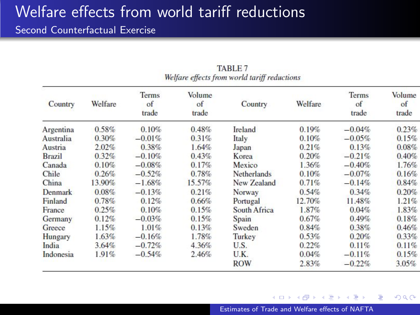### Welfare effects from world tariff reductions

**Second Counterfactual Exercise** 

| Country       | Welfare  | <b>Terms</b><br>of<br>trade | Volume<br>of<br>trade | Country            | Welfare | Terms<br>of<br>trade | Volume<br>of<br>trade |
|---------------|----------|-----------------------------|-----------------------|--------------------|---------|----------------------|-----------------------|
| Argentina     | 0.58%    | 0.10%                       | 0.48%                 | Ireland            | 0.19%   | $-0.04%$             | 0.23%                 |
| Australia     | 0.30%    | $-0.01%$                    | 0.31%                 | Italy              | 0.10%   | $-0.05%$             | 0.15%                 |
| Austria       | 2.02%    | 0.38%                       | 1.64%                 | Japan              | 0.21%   | 0.13%                | 0.08%                 |
| <b>Brazil</b> | $0.32\%$ | $-0.10%$                    | 0.43%                 | Korea              | 0.20%   | $-0.21%$             | 0.40%                 |
| Canada        | 0.10%    | $-0.08%$                    | 0.17%                 | Mexico             | 1.36%   | $-0.40%$             | 1.76%                 |
| Chile         | 0.26%    | $-0.52%$                    | 0.78%                 | <b>Netherlands</b> | 0.10%   | $-0.07\%$            | 0.16%                 |
| China         | 13.90%   | $-1.68%$                    | 15.57%                | New Zealand        | 0.71%   | $-0.14%$             | 0.84%                 |
| Denmark       | 0.08%    | $-0.13%$                    | 0.21%                 | Norway             | 0.54%   | 0.34%                | 0.20%                 |
| Finland       | 0.78%    | 0.12%                       | 0.66%                 | Portugal           | 12.70%  | 11.48%               | 1.21%                 |
| France        | 0.25%    | 0.10%                       | 0.15%                 | South Africa       | 1.87%   | 0.04%                | 1.83%                 |
| Germany       | 0.12%    | $-0.03%$                    | 0.15%                 | Spain              | 0.67%   | 0.49%                | 0.18%                 |
| Greece        | 1.15%    | 1.01%                       | 0.13%                 | Sweden             | 0.84%   | 0.38%                | 0.46%                 |
| Hungary       | 1.63%    | $-0.16%$                    | 1.78%                 | Turkey             | 0.53%   | 0.20%                | 0.33%                 |
| India         | 3.64%    | $-0.72%$                    | 4.36%                 | U.S.               | 0.22%   | 0.11%                | 0.11%                 |
| Indonesia     | 1.91%    | $-0.54%$                    | 2.46%                 | U.K.               | 0.04%   | $-0.11%$             | 0.15%                 |
|               |          |                             |                       | <b>ROW</b>         | 2.83%   | $-0.22%$             | 3.05%                 |

TABLE 7 Welfare effects from world tariff reductions

[Estimates of Trade and Welfare effects of NAFTA](#page-0-0)

 $\triangleright$  and  $\equiv$   $\triangleright$  and  $\equiv$   $\triangleright$ 

 $\overline{a}$ 

E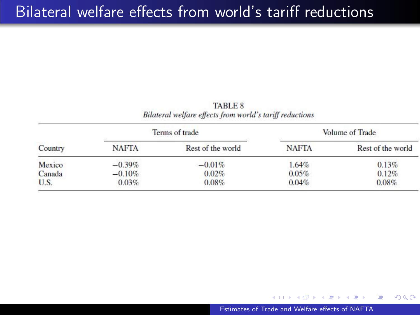#### Bilateral welfare effects from world's tariff reductions

**TABLE 8** Bilateral welfare effects from world's tariff reductions

| Country |              | Terms of trade    | Volume of Trade |                   |  |
|---------|--------------|-------------------|-----------------|-------------------|--|
|         | <b>NAFTA</b> | Rest of the world | <b>NAFTA</b>    | Rest of the world |  |
| Mexico  | $-0.39%$     | $-0.01%$          | 1.64%           | 0.13%             |  |
| Canada  | $-0.10%$     | 0.02%             | $0.05\%$        | 0.12%             |  |
| U.S.    | 0.03%        | 0.08%             | 0.04%           | 0.08%             |  |

 $\overline{a}$ 

 $\mathbf{A} \equiv \mathbf{A} \quad \mathbf{A} \equiv \mathbf{A}$ 

E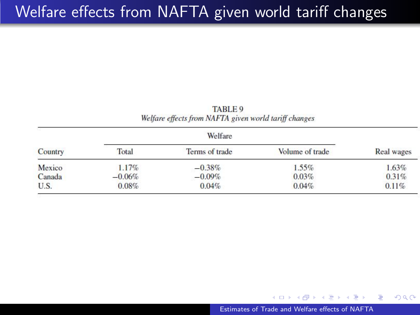# Welfare effects from NAFTA given world tariff changes

|         |          | Welfare        |                 |            |  |  |
|---------|----------|----------------|-----------------|------------|--|--|
| Country | Total    | Terms of trade | Volume of trade | Real wages |  |  |
| Mexico  | 1.17%    | $-0.38\%$      | $1.55\%$        | 1.63%      |  |  |
| Canada  | $-0.06%$ | $-0.09\%$      | 0.03%           | 0.31%      |  |  |
| U.S.    | 0.08%    | 0.04%          | 0.04%           | 0.11%      |  |  |

TABLE 9 Welfare effects from NAFTA given world tariff changes

[Estimates of Trade and Welfare effects of NAFTA](#page-0-0)

4 17 18

 $\langle \overline{m} \rangle$  and  $\overline{m}$  and  $\overline{m}$  and  $\overline{m}$ 

E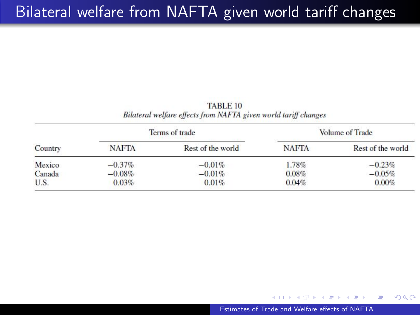# Bilateral welfare from NAFTA given world tariff changes

**TABLE 10** Bilateral welfare effects from NAFTA given world tariff changes

| Country |              | Terms of trade    | Volume of Trade |                   |  |
|---------|--------------|-------------------|-----------------|-------------------|--|
|         | <b>NAFTA</b> | Rest of the world | <b>NAFTA</b>    | Rest of the world |  |
| Mexico  | $-0.37\%$    | $-0.01\%$         | 1.78%           | $-0.23%$          |  |
| Canada  | $-0.08%$     | $-0.01%$          | 0.08%           | $-0.05%$          |  |
| U.S.    | 0.03%        | 0.01%             | 0.04%           | 0.00%             |  |

 $\overline{a}$ 

→ イヨ → イヨ

 $299$ 

э